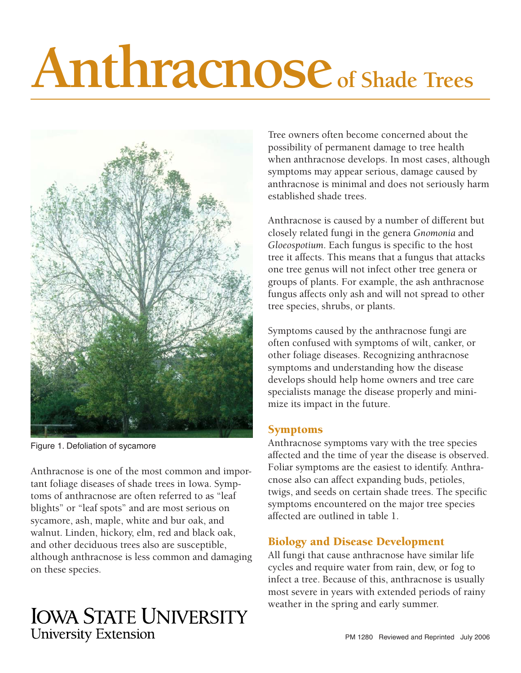# **Anthracnose of Shade Trees**



Figure 1. Defoliation of sycamore

Anthracnose is one of the most common and important foliage diseases of shade trees in Iowa. Symptoms of anthracnose are often referred to as "leaf blights" or "leaf spots" and are most serious on sycamore, ash, maple, white and bur oak, and walnut. Linden, hickory, elm, red and black oak, and other deciduous trees also are susceptible, although anthracnose is less common and damaging on these species.

# **IOWA STATE UNIVERSITY University Extension**

Tree owners often become concerned about the possibility of permanent damage to tree health when anthracnose develops. In most cases, although symptoms may appear serious, damage caused by anthracnose is minimal and does not seriously harm established shade trees.

Anthracnose is caused by a number of different but closely related fungi in the genera *Gnomonia* and *Gloeospotium*. Each fungus is specific to the host tree it affects. This means that a fungus that attacks one tree genus will not infect other tree genera or groups of plants. For example, the ash anthracnose fungus affects only ash and will not spread to other tree species, shrubs, or plants.

Symptoms caused by the anthracnose fungi are often confused with symptoms of wilt, canker, or other foliage diseases. Recognizing anthracnose symptoms and understanding how the disease develops should help home owners and tree care specialists manage the disease properly and minimize its impact in the future.

## Symptoms

Anthracnose symptoms vary with the tree species affected and the time of year the disease is observed. Foliar symptoms are the easiest to identify. Anthracnose also can affect expanding buds, petioles, twigs, and seeds on certain shade trees. The specific symptoms encountered on the major tree species affected are outlined in table 1.

# Biology and Disease Development

All fungi that cause anthracnose have similar life cycles and require water from rain, dew, or fog to infect a tree. Because of this, anthracnose is usually most severe in years with extended periods of rainy weather in the spring and early summer.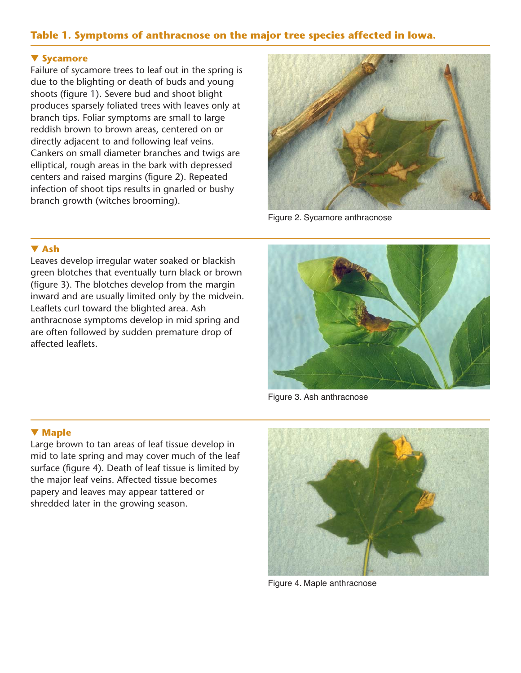### **Table 1. Symptoms of anthracnose on the major tree species affected in Iowa.**

#### ▼ **Sycamore**

Failure of sycamore trees to leaf out in the spring is due to the blighting or death of buds and young shoots (figure 1). Severe bud and shoot blight produces sparsely foliated trees with leaves only at branch tips. Foliar symptoms are small to large reddish brown to brown areas, centered on or directly adjacent to and following leaf veins. Cankers on small diameter branches and twigs are elliptical, rough areas in the bark with depressed centers and raised margins (figure 2). Repeated infection of shoot tips results in gnarled or bushy branch growth (witches brooming).



Figure 2. Sycamore anthracnose

#### ▼ **Ash**

Leaves develop irregular water soaked or blackish green blotches that eventually turn black or brown (figure 3). The blotches develop from the margin inward and are usually limited only by the midvein. Leaflets curl toward the blighted area. Ash anthracnose symptoms develop in mid spring and are often followed by sudden premature drop of affected leaflets.



Figure 3. Ash anthracnose

#### ▼ **Maple**

Large brown to tan areas of leaf tissue develop in mid to late spring and may cover much of the leaf surface (figure 4). Death of leaf tissue is limited by the major leaf veins. Affected tissue becomes papery and leaves may appear tattered or shredded later in the growing season.



Figure 4. Maple anthracnose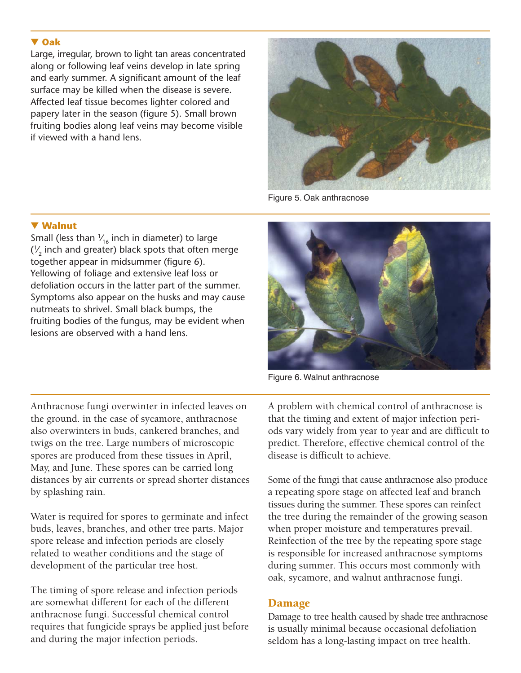#### ▼ **Oak**

Large, irregular, brown to light tan areas concentrated along or following leaf veins develop in late spring and early summer. A significant amount of the leaf surface may be killed when the disease is severe. Affected leaf tissue becomes lighter colored and papery later in the season (figure 5). Small brown fruiting bodies along leaf veins may become visible if viewed with a hand lens.



Figure 5. Oak anthracnose

#### ▼ **Walnut**

Small (less than  $V_{16}$  inch in diameter) to large  $(\frac{1}{2})$  inch and greater) black spots that often merge **∕** together appear in midsummer (figure 6). Yellowing of foliage and extensive leaf loss or defoliation occurs in the latter part of the summer. Symptoms also appear on the husks and may cause nutmeats to shrivel. Small black bumps, the fruiting bodies of the fungus, may be evident when lesions are observed with a hand lens.

Anthracnose fungi overwinter in infected leaves on the ground. in the case of sycamore, anthracnose also overwinters in buds, cankered branches, and twigs on the tree. Large numbers of microscopic spores are produced from these tissues in April, May, and June. These spores can be carried long distances by air currents or spread shorter distances by splashing rain.

Water is required for spores to germinate and infect buds, leaves, branches, and other tree parts. Major spore release and infection periods are closely related to weather conditions and the stage of development of the particular tree host.

The timing of spore release and infection periods are somewhat different for each of the different anthracnose fungi. Successful chemical control requires that fungicide sprays be applied just before and during the major infection periods.



Figure 6. Walnut anthracnose

A problem with chemical control of anthracnose is that the timing and extent of major infection periods vary widely from year to year and are difficult to predict. Therefore, effective chemical control of the disease is difficult to achieve.

Some of the fungi that cause anthracnose also produce a repeating spore stage on affected leaf and branch tissues during the summer. These spores can reinfect the tree during the remainder of the growing season when proper moisture and temperatures prevail. Reinfection of the tree by the repeating spore stage is responsible for increased anthracnose symptoms during summer. This occurs most commonly with oak, sycamore, and walnut anthracnose fungi.

#### Damage

Damage to tree health caused by shade tree anthracnose is usually minimal because occasional defoliation seldom has a long-lasting impact on tree health.